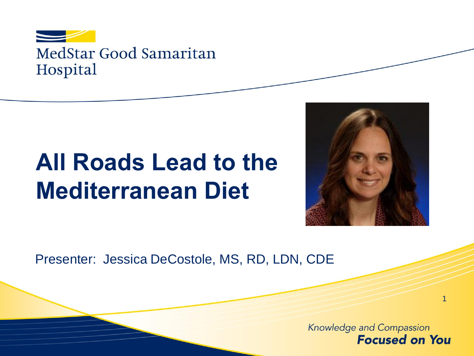

# **All Roads Lead to the Mediterranean Diet**



Presenter: Jessica DeCostole, MS, RD, LDN, CDE

Knowledge and Compassion **Focused on You**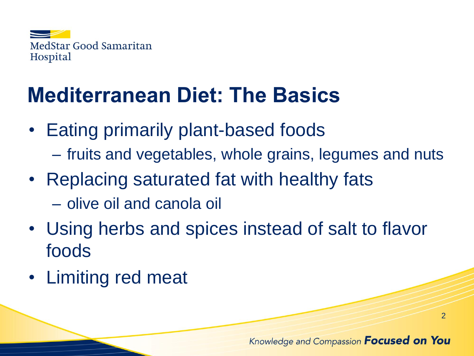

## **Mediterranean Diet: The Basics**

- Eating primarily plant-based foods
	- fruits and vegetables, whole grains, legumes and nuts
- Replacing saturated fat with healthy fats
	- olive oil and canola oil
- Using herbs and spices instead of salt to flavor foods
- Limiting red meat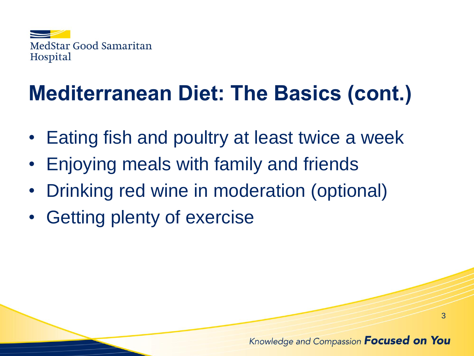

# **Mediterranean Diet: The Basics (cont.)**

- Eating fish and poultry at least twice a week
- Enjoying meals with family and friends
- Drinking red wine in moderation (optional)
- Getting plenty of exercise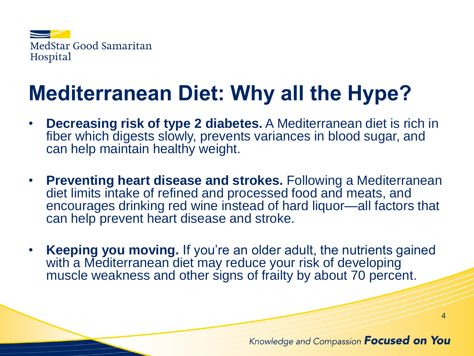

# **Mediterranean Diet: Why all the Hype?**

- **Decreasing risk of type 2 diabetes.** A Mediterranean diet is rich in fiber which digests slowly, prevents variances in blood sugar, and can help maintain healthy weight.
- **Preventing heart disease and strokes.** Following a Mediterranean diet limits intake of refined and processed food and meats, and encourages drinking red wine instead of hard liquor—all factors that can help prevent heart disease and stroke.
- **Keeping you moving.** If you're an older adult, the nutrients gained with a Mediterranean diet may reduce your risk of developing muscle weakness and other signs of frailty by about 70 percent.

#### Knowledge and Compassion **Focused on You**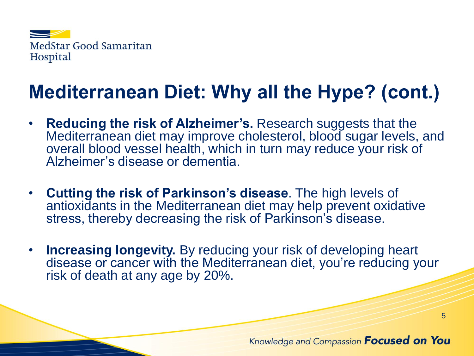

### **Mediterranean Diet: Why all the Hype? (cont.)**

- **Reducing the risk of Alzheimer's.** Research suggests that the Mediterranean diet may improve cholesterol, blood sugar levels, and overall blood vessel health, which in turn may reduce your risk of Alzheimer's disease or dementia.
- **Cutting the risk of Parkinson's disease**. The high levels of antioxidants in the Mediterranean diet may help prevent oxidative stress, thereby decreasing the risk of Parkinson's disease.
- **Increasing longevity.** By reducing your risk of developing heart disease or cancer with the Mediterranean diet, you're reducing your risk of death at any age by 20%.

#### Knowledge and Compassion **Focused on You**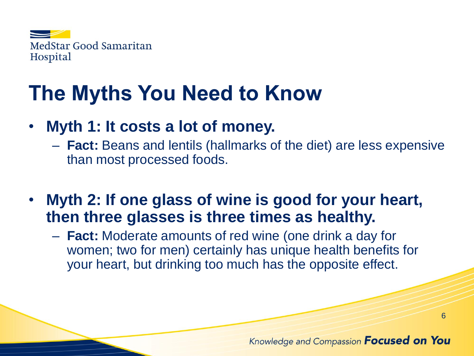

### **The Myths You Need to Know**

- **Myth 1: It costs a lot of money.**
	- **Fact:** Beans and lentils (hallmarks of the diet) are less expensive than most processed foods.
- **Myth 2: If one glass of wine is good for your heart, then three glasses is three times as healthy.**
	- **Fact:** Moderate amounts of red wine (one drink a day for women; two for men) certainly has unique health benefits for your heart, but drinking too much has the opposite effect.

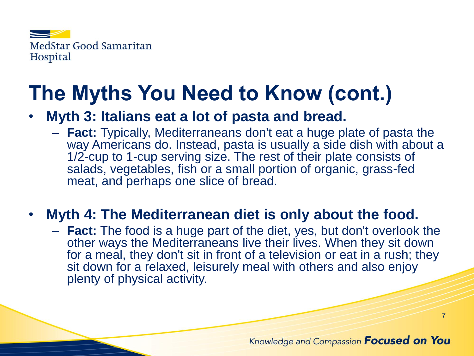

## **The Myths You Need to Know (cont.)**

#### • **Myth 3: Italians eat a lot of pasta and bread.**

– **Fact:** Typically, Mediterraneans don't eat a huge plate of pasta the way Americans do. Instead, pasta is usually a side dish with about a 1/2-cup to 1-cup serving size. The rest of their plate consists of salads, vegetables, fish or a small portion of organic, grass-fed meat, and perhaps one slice of bread.

#### • **Myth 4: The Mediterranean diet is only about the food.**

– **Fact:** The food is a huge part of the diet, yes, but don't overlook the other ways the Mediterraneans live their lives. When they sit down for a meal, they don't sit in front of a television or eat in a rush; they sit down for a relaxed, leisurely meal with others and also enjoy plenty of physical activity.

#### Knowledge and Compassion **Focused on You**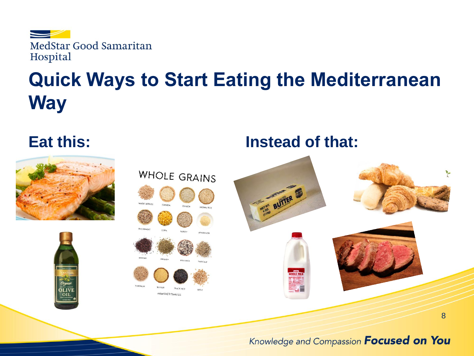

### **Quick Ways to Start Eating the Mediterranean Way**



#### Knowledge and Compassion Focused on You